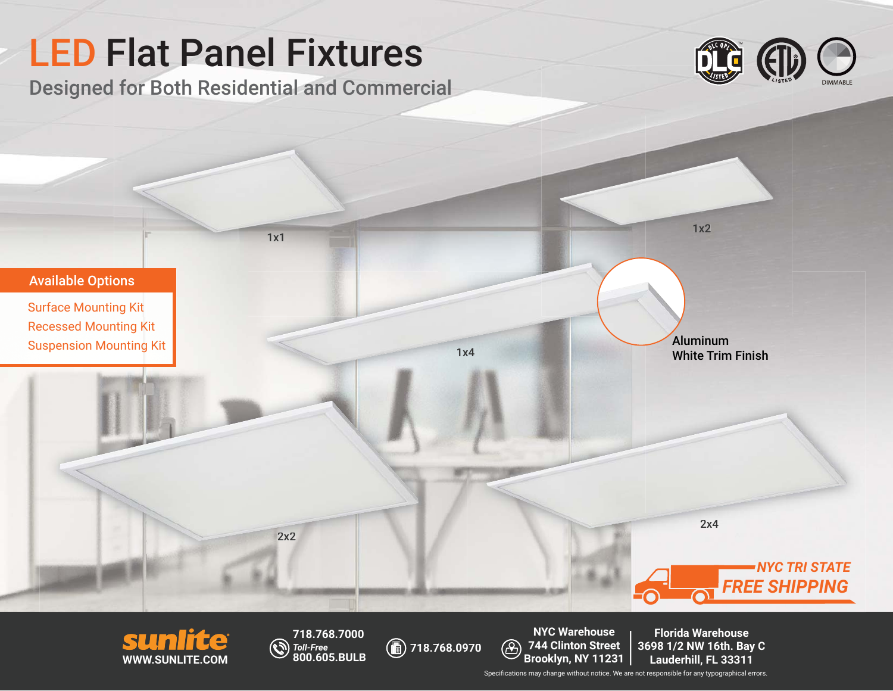



LED Flat Panel Fixtures

**718.768.7000** *Toll-Free* **800.605.BULB**

**718.768.0970 718.7**

**NYC Warehouse 744 Clinton Street Brooklyn, NY 11231 Florida Warehouse 3698 1/2 NW 16th. Bay C Bay Lauderhill, FL 33311**

Specifications may change without notice. We are not responsible for any typographical errors.